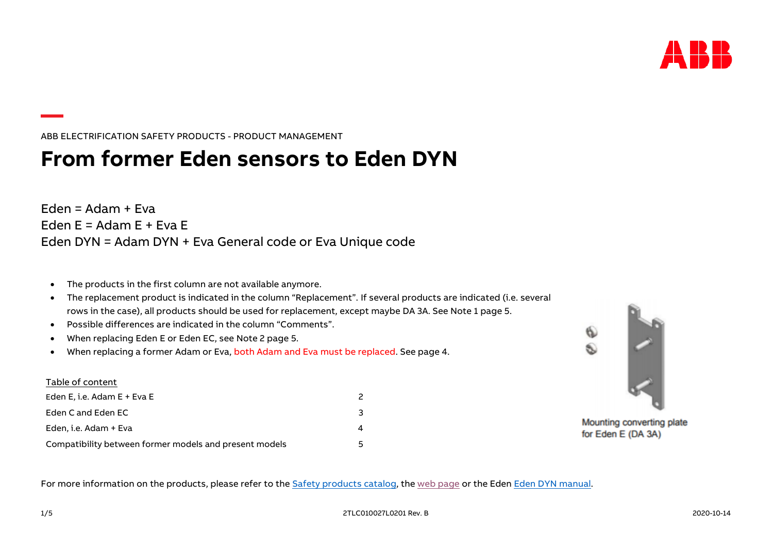ABB ELECTRIFICATION SAFETY PRODUCTS - PRODUCT MANAGEMENT

# **From former Eden sensors to Eden DYN**

 $Eden = Adam + Fva$  $F$ den  $F = \text{Adam } F + \text{Fva } F$ Eden DYN = Adam DYN + Eva General code or Eva Unique code

- The products in the first column are not available anymore.
- The replacement product is indicated in the column "Replacement". If several products are indicated (i.e. several rows in the case), all products should be used for replacement, except maybe DA 3A. See Note 1 page 5.
- Possible differences are indicated in the column "Comments".
- When replacing Eden E or Eden EC, see Note 2 page 5.
- When replacing a former Adam or Eva, both Adam and Eva must be replaced. See page 4.

### Table of content

| Eden E, i.e. Adam E + Eva E                            | 2 |
|--------------------------------------------------------|---|
| Eden C and Eden EC                                     | 3 |
| Eden, i.e. Adam + Eva                                  | Δ |
| Compatibility between former models and present models | 5 |



Mounting converting plate for Eden E (DA 3A)

For more information on the products, please refer to the [Safety products](https://search.abb.com/library/Download.aspx?DocumentID=2TLC010001C0202&LanguageCode=en&DocumentPartId=&Action=Launch) catalog, th[e web page](http://new.abb.com/low-voltage/products/safety-products/safety-sensors-switches-and-locks/eden) or the Eden [Eden DYN](https://search.abb.com/library/Download.aspx?DocumentID=2TLC172271M0201&LanguageCode=en&DocumentPartId=&Action=Launch) manual.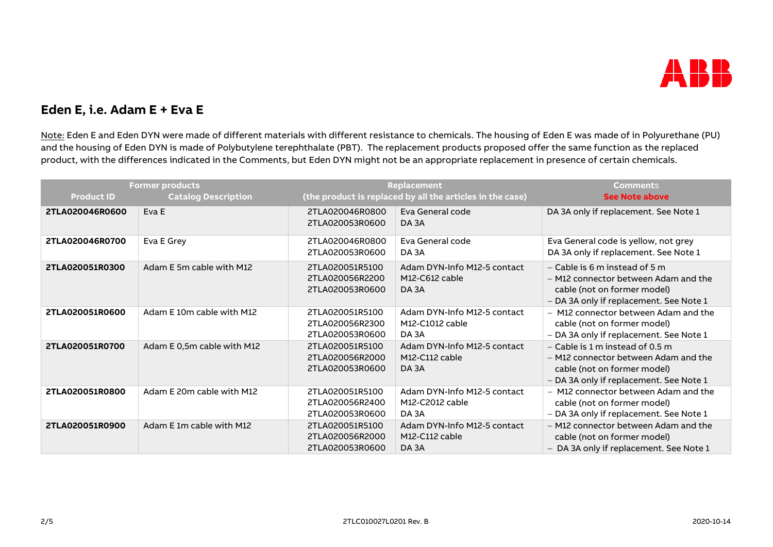

## **Eden E, i.e. Adam E + Eva E**

Note: Eden E and Eden DYN were made of different materials with different resistance to chemicals. The housing of Eden E was made of in Polyurethane (PU) and the housing of Eden DYN is made of Polybutylene terephthalate (PBT). The replacement products proposed offer the same function as the replaced product, with the differences indicated in the Comments, but Eden DYN might not be an appropriate replacement in presence of certain chemicals.

| Former products   |                            | <b>Replacement</b>                                    |                                                                     | <b>Comments</b>                                                                                                                                     |
|-------------------|----------------------------|-------------------------------------------------------|---------------------------------------------------------------------|-----------------------------------------------------------------------------------------------------------------------------------------------------|
| <b>Product ID</b> | <b>Catalog Description</b> |                                                       | (the product is replaced by all the articles in the case)           | <b>See Note above</b>                                                                                                                               |
| 2TLA020046R0600   | Eva E                      | 2TLA020046R0800<br>2TLA020053R0600                    | Eva General code<br>DA 3A                                           | DA 3A only if replacement. See Note 1                                                                                                               |
| 2TLA020046R0700   | Eva E Grey                 | 2TLA020046R0800<br>2TLA020053R0600                    | Eva General code<br>DA 3A                                           | Eva General code is yellow, not grey<br>DA 3A only if replacement. See Note 1                                                                       |
| 2TLA020051R0300   | Adam E 5m cable with M12   | 2TLA020051R5100<br>2TLA020056R2200<br>2TLA020053R0600 | Adam DYN-Info M12-5 contact<br>M12-C612 cable<br>DA <sub>3</sub> A  | - Cable is 6 m instead of 5 m<br>- M12 connector between Adam and the<br>cable (not on former model)<br>- DA 3A only if replacement. See Note 1     |
| 2TLA020051R0600   | Adam E 10m cable with M12  | 2TLA020051R5100<br>2TLA020056R2300<br>2TLA020053R0600 | Adam DYN-Info M12-5 contact<br>M12-C1012 cable<br>DA <sub>3</sub> A | - M12 connector between Adam and the<br>cable (not on former model)<br>- DA 3A only if replacement. See Note 1                                      |
| 2TLA020051R0700   | Adam E 0,5m cable with M12 | 2TLA020051R5100<br>2TLA020056R2000<br>2TLA020053R0600 | Adam DYN-Info M12-5 contact<br>M12-C112 cable<br>DA <sub>3</sub> A  | $-$ Cable is 1 m instead of 0.5 m<br>- M12 connector between Adam and the<br>cable (not on former model)<br>- DA 3A only if replacement. See Note 1 |
| 2TLA020051R0800   | Adam E 20m cable with M12  | 2TLA020051R5100<br>2TLA020056R2400<br>2TLA020053R0600 | Adam DYN-Info M12-5 contact<br>M12-C2012 cable<br>DA <sub>3</sub> A | - M12 connector between Adam and the<br>cable (not on former model)<br>- DA 3A only if replacement. See Note 1                                      |
| 2TLA020051R0900   | Adam E 1m cable with M12   | 2TLA020051R5100<br>2TLA020056R2000<br>2TLA020053R0600 | Adam DYN-Info M12-5 contact<br>M12-C112 cable<br>DA <sub>3</sub> A  | - M12 connector between Adam and the<br>cable (not on former model)<br>- DA 3A only if replacement. See Note 1                                      |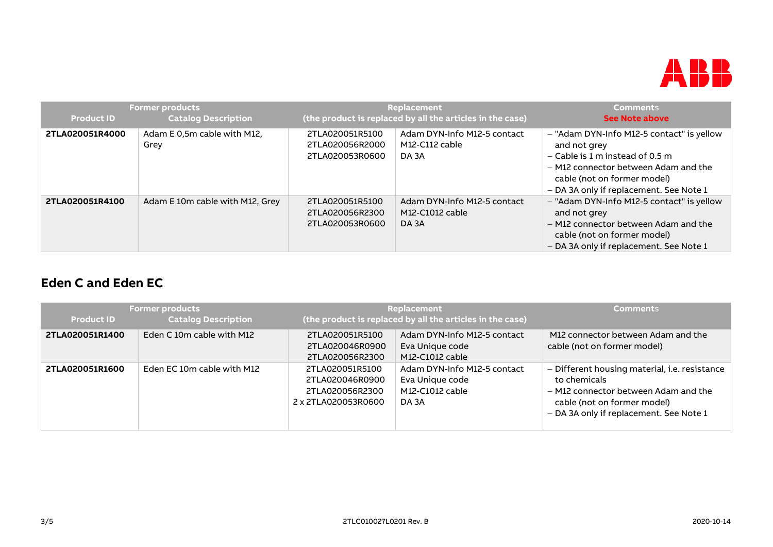

| <b>Former products</b> |                                     | Replacement                                           |                                                           | <b>Comments</b>                                                                                                                                                                                                  |
|------------------------|-------------------------------------|-------------------------------------------------------|-----------------------------------------------------------|------------------------------------------------------------------------------------------------------------------------------------------------------------------------------------------------------------------|
| <b>Product ID</b>      | <b>Catalog Description</b>          |                                                       | (the product is replaced by all the articles in the case) | <b>See Note above</b>                                                                                                                                                                                            |
| 2TLA020051R4000        | Adam E 0,5m cable with M12,<br>Grey | 2TLA020051R5100<br>2TLA020056R2000<br>2TLA020053R0600 | Adam DYN-Info M12-5 contact<br>M12-C112 cable<br>DA 3A    | - "Adam DYN-Info M12-5 contact" is yellow<br>and not grey<br>$-$ Cable is 1 m instead of 0.5 m<br>- M12 connector between Adam and the<br>cable (not on former model)<br>- DA 3A only if replacement. See Note 1 |
| 2TLA020051R4100        | Adam E 10m cable with M12, Grey     | 2TLA020051R5100<br>2TLA020056R2300<br>2TLA020053R0600 | Adam DYN-Info M12-5 contact<br>M12-C1012 cable<br>DA 3A   | - "Adam DYN-Info M12-5 contact" is yellow<br>and not grey<br>- M12 connector between Adam and the<br>cable (not on former model)<br>- DA 3A only if replacement. See Note 1                                      |

# **Eden C and Eden EC**

| <b>Former products</b> |                            |                                                                              | Replacement                                                                | <b>Comments</b>                                                                                                                                                                 |
|------------------------|----------------------------|------------------------------------------------------------------------------|----------------------------------------------------------------------------|---------------------------------------------------------------------------------------------------------------------------------------------------------------------------------|
| <b>Product ID</b>      | <b>Catalog Description</b> | (the product is replaced by all the article <u>s in the case)</u>            |                                                                            |                                                                                                                                                                                 |
| 2TLA020051R1400        | Eden C 10m cable with M12  | 2TLA020051R5100<br>2TLA020046R0900<br>2TLA020056R2300                        | Adam DYN-Info M12-5 contact<br>Eva Unique code<br>M12-C1012 cable          | M12 connector between Adam and the<br>cable (not on former model)                                                                                                               |
| 2TLA020051R1600        | Eden EC 10m cable with M12 | 2TLA020051R5100<br>2TLA020046R0900<br>2TLA020056R2300<br>2 x 2TLA020053R0600 | Adam DYN-Info M12-5 contact<br>Eva Unique code<br>M12-C1012 cable<br>DA 3A | - Different housing material, i.e. resistance<br>to chemicals<br>- M12 connector between Adam and the<br>cable (not on former model)<br>- DA 3A only if replacement. See Note 1 |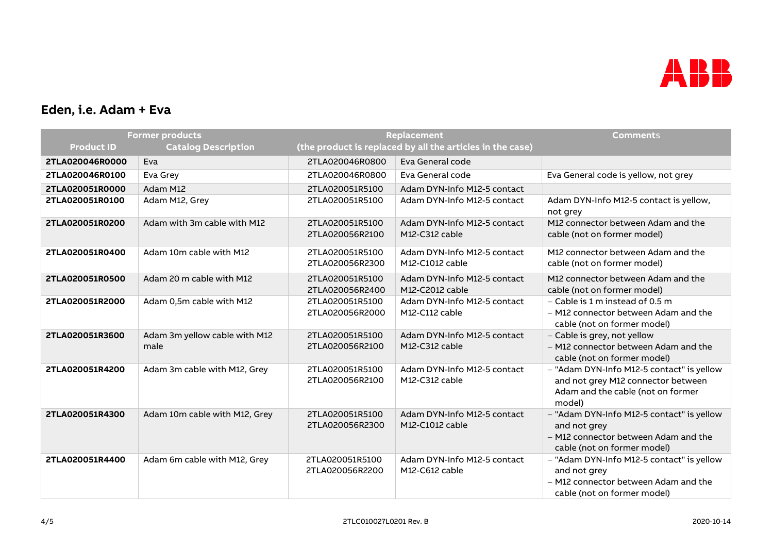

# **Eden, i.e. Adam + Eva**

| <b>Former products</b> |                                       | <b>Replacement</b>                 |                                                           | <b>Comments</b>                                                                                                                  |
|------------------------|---------------------------------------|------------------------------------|-----------------------------------------------------------|----------------------------------------------------------------------------------------------------------------------------------|
| <b>Product ID</b>      | <b>Catalog Description</b>            |                                    | (the product is replaced by all the articles in the case) |                                                                                                                                  |
| 2TLA020046R0000        | Eva                                   | 2TLA020046R0800                    | Eva General code                                          |                                                                                                                                  |
| 2TLA020046R0100        | Eva Grey                              | 2TLA020046R0800                    | Eva General code                                          | Eva General code is yellow, not grey                                                                                             |
| 2TLA020051R0000        | Adam M12                              | 2TLA020051R5100                    | Adam DYN-Info M12-5 contact                               |                                                                                                                                  |
| 2TLA020051R0100        | Adam M12, Grey                        | 2TLA020051R5100                    | Adam DYN-Info M12-5 contact                               | Adam DYN-Info M12-5 contact is yellow,<br>not grey                                                                               |
| 2TLA020051R0200        | Adam with 3m cable with M12           | 2TLA020051R5100<br>2TLA020056R2100 | Adam DYN-Info M12-5 contact<br>M12-C312 cable             | M12 connector between Adam and the<br>cable (not on former model)                                                                |
| 2TLA020051R0400        | Adam 10m cable with M12               | 2TLA020051R5100<br>2TLA020056R2300 | Adam DYN-Info M12-5 contact<br>M12-C1012 cable            | M12 connector between Adam and the<br>cable (not on former model)                                                                |
| 2TLA020051R0500        | Adam 20 m cable with M12              | 2TLA020051R5100<br>2TLA020056R2400 | Adam DYN-Info M12-5 contact<br>M12-C2012 cable            | M12 connector between Adam and the<br>cable (not on former model)                                                                |
| 2TLA020051R2000        | Adam 0,5m cable with M12              | 2TLA020051R5100<br>2TLA020056R2000 | Adam DYN-Info M12-5 contact<br>M12-C112 cable             | $-$ Cable is 1 m instead of 0.5 m<br>- M12 connector between Adam and the<br>cable (not on former model)                         |
| 2TLA020051R3600        | Adam 3m yellow cable with M12<br>male | 2TLA020051R5100<br>2TLA020056R2100 | Adam DYN-Info M12-5 contact<br>M12-C312 cable             | - Cable is grey, not yellow<br>- M12 connector between Adam and the<br>cable (not on former model)                               |
| 2TLA020051R4200        | Adam 3m cable with M12, Grey          | 2TLA020051R5100<br>2TLA020056R2100 | Adam DYN-Info M12-5 contact<br>M12-C312 cable             | - "Adam DYN-Info M12-5 contact" is yellow<br>and not grey M12 connector between<br>Adam and the cable (not on former<br>model)   |
| 2TLA020051R4300        | Adam 10m cable with M12, Grey         | 2TLA020051R5100<br>2TLA020056R2300 | Adam DYN-Info M12-5 contact<br>M12-C1012 cable            | - "Adam DYN-Info M12-5 contact" is yellow<br>and not grey<br>- M12 connector between Adam and the<br>cable (not on former model) |
| 2TLA020051R4400        | Adam 6m cable with M12, Grey          | 2TLA020051R5100<br>2TLA020056R2200 | Adam DYN-Info M12-5 contact<br>M12-C612 cable             | - "Adam DYN-Info M12-5 contact" is yellow<br>and not grey<br>- M12 connector between Adam and the<br>cable (not on former model) |